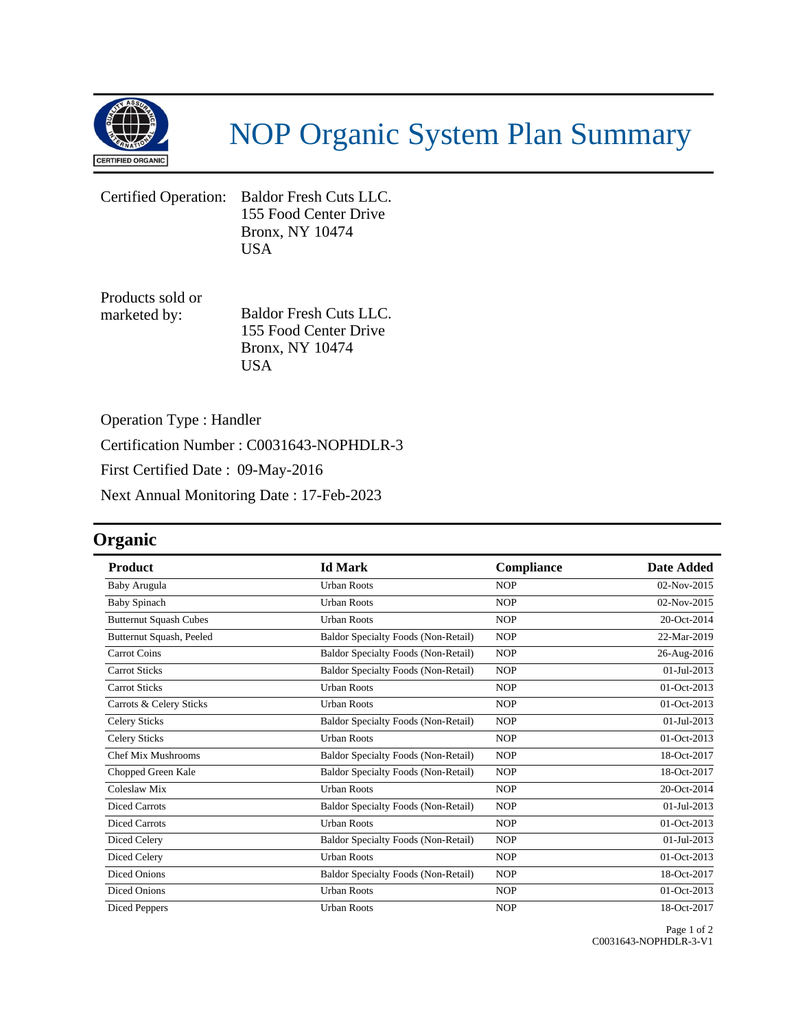

## NOP Organic System Plan Summary

Certified Operation: Baldor Fresh Cuts LLC. 155 Food Center Drive Bronx, NY 10474 USA

Products sold or marketed by: Baldor Fresh Cuts LLC. 155 Food Center Drive Bronx, NY 10474 USA

Operation Type : Handler

Certification Number : C0031643-NOPHDLR-3

First Certified Date : 09-May-2016

Next Annual Monitoring Date : 17-Feb-2023

## **Organic**

| <b>Product</b>                | <b>Id Mark</b>                             | Compliance | <b>Date Added</b> |
|-------------------------------|--------------------------------------------|------------|-------------------|
| Baby Arugula                  | <b>Urban Roots</b>                         | <b>NOP</b> | 02-Nov-2015       |
| <b>Baby Spinach</b>           | <b>Urban Roots</b>                         | <b>NOP</b> | 02-Nov-2015       |
| <b>Butternut Squash Cubes</b> | <b>Urban Roots</b>                         | <b>NOP</b> | 20-Oct-2014       |
| Butternut Squash, Peeled      | <b>Baldor Specialty Foods (Non-Retail)</b> | <b>NOP</b> | 22-Mar-2019       |
| Carrot Coins                  | <b>Baldor Specialty Foods (Non-Retail)</b> | <b>NOP</b> | 26-Aug-2016       |
| <b>Carrot Sticks</b>          | Baldor Specialty Foods (Non-Retail)        | <b>NOP</b> | $01-Jul-2013$     |
| <b>Carrot Sticks</b>          | <b>Urban Roots</b>                         | <b>NOP</b> | 01-Oct-2013       |
| Carrots & Celery Sticks       | <b>Urban Roots</b>                         | <b>NOP</b> | 01-Oct-2013       |
| <b>Celery Sticks</b>          | <b>Baldor Specialty Foods (Non-Retail)</b> | <b>NOP</b> | 01-Jul-2013       |
| <b>Celery Sticks</b>          | <b>Urban Roots</b>                         | <b>NOP</b> | 01-Oct-2013       |
| Chef Mix Mushrooms            | <b>Baldor Specialty Foods (Non-Retail)</b> | <b>NOP</b> | 18-Oct-2017       |
| Chopped Green Kale            | <b>Baldor Specialty Foods (Non-Retail)</b> | <b>NOP</b> | 18-Oct-2017       |
| Coleslaw Mix                  | <b>Urban Roots</b>                         | <b>NOP</b> | 20-Oct-2014       |
| <b>Diced Carrots</b>          | <b>Baldor Specialty Foods (Non-Retail)</b> | <b>NOP</b> | 01-Jul-2013       |
| <b>Diced Carrots</b>          | <b>Urban Roots</b>                         | <b>NOP</b> | 01-Oct-2013       |
| Diced Celery                  | <b>Baldor Specialty Foods (Non-Retail)</b> | <b>NOP</b> | $01 -$ Jul-2013   |
| Diced Celery                  | <b>Urban Roots</b>                         | <b>NOP</b> | 01-Oct-2013       |
| Diced Onions                  | <b>Baldor Specialty Foods (Non-Retail)</b> | <b>NOP</b> | 18-Oct-2017       |
| <b>Diced Onions</b>           | <b>Urban Roots</b>                         | <b>NOP</b> | 01-Oct-2013       |
| Diced Peppers                 | <b>Urban Roots</b>                         | <b>NOP</b> | 18-Oct-2017       |

Page 1 of 2 C0031643-NOPHDLR-3-V1